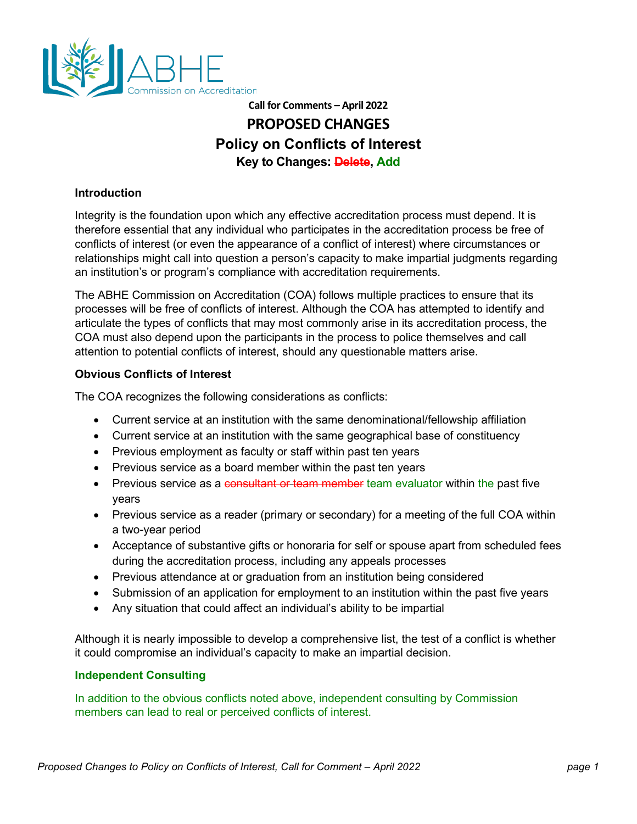

# **Call for Comments – April 2022 PROPOSED CHANGES Policy on Conflicts of Interest Key to Changes: Delete, Add**

## **Introduction**

Integrity is the foundation upon which any effective accreditation process must depend. It is therefore essential that any individual who participates in the accreditation process be free of conflicts of interest (or even the appearance of a conflict of interest) where circumstances or relationships might call into question a person's capacity to make impartial judgments regarding an institution's or program's compliance with accreditation requirements.

The ABHE Commission on Accreditation (COA) follows multiple practices to ensure that its processes will be free of conflicts of interest. Although the COA has attempted to identify and articulate the types of conflicts that may most commonly arise in its accreditation process, the COA must also depend upon the participants in the process to police themselves and call attention to potential conflicts of interest, should any questionable matters arise.

### **Obvious Conflicts of Interest**

The COA recognizes the following considerations as conflicts:

- Current service at an institution with the same denominational/fellowship affiliation
- Current service at an institution with the same geographical base of constituency
- Previous employment as faculty or staff within past ten years
- Previous service as a board member within the past ten years
- Previous service as a consultant or team member team evaluator within the past five years
- Previous service as a reader (primary or secondary) for a meeting of the full COA within a two-year period
- Acceptance of substantive gifts or honoraria for self or spouse apart from scheduled fees during the accreditation process, including any appeals processes
- Previous attendance at or graduation from an institution being considered
- Submission of an application for employment to an institution within the past five years
- Any situation that could affect an individual's ability to be impartial

Although it is nearly impossible to develop a comprehensive list, the test of a conflict is whether it could compromise an individual's capacity to make an impartial decision.

### **Independent Consulting**

In addition to the obvious conflicts noted above, independent consulting by Commission members can lead to real or perceived conflicts of interest.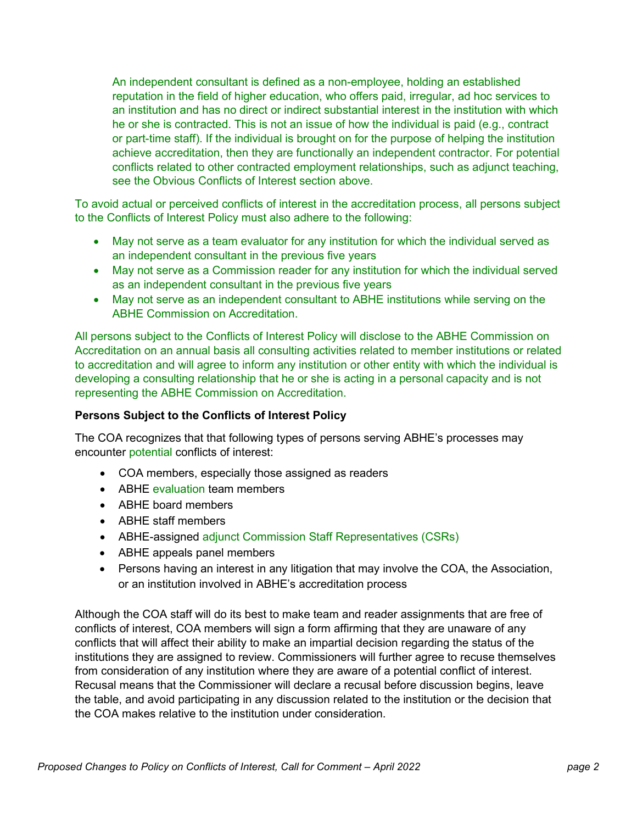An independent consultant is defined as a non-employee, holding an established reputation in the field of higher education, who offers paid, irregular, ad hoc services to an institution and has no direct or indirect substantial interest in the institution with which he or she is contracted. This is not an issue of how the individual is paid (e.g., contract or part-time staff). If the individual is brought on for the purpose of helping the institution achieve accreditation, then they are functionally an independent contractor. For potential conflicts related to other contracted employment relationships, such as adjunct teaching, see the Obvious Conflicts of Interest section above.

To avoid actual or perceived conflicts of interest in the accreditation process, all persons subject to the Conflicts of Interest Policy must also adhere to the following:

- May not serve as a team evaluator for any institution for which the individual served as an independent consultant in the previous five years
- May not serve as a Commission reader for any institution for which the individual served as an independent consultant in the previous five years
- May not serve as an independent consultant to ABHE institutions while serving on the ABHE Commission on Accreditation.

All persons subject to the Conflicts of Interest Policy will disclose to the ABHE Commission on Accreditation on an annual basis all consulting activities related to member institutions or related to accreditation and will agree to inform any institution or other entity with which the individual is developing a consulting relationship that he or she is acting in a personal capacity and is not representing the ABHE Commission on Accreditation.

### **Persons Subject to the Conflicts of Interest Policy**

The COA recognizes that that following types of persons serving ABHE's processes may encounter potential conflicts of interest:

- COA members, especially those assigned as readers
- ABHE evaluation team members
- ABHE board members
- ABHE staff members
- ABHE-assigned adjunct Commission Staff Representatives (CSRs)
- ABHE appeals panel members
- Persons having an interest in any litigation that may involve the COA, the Association, or an institution involved in ABHE's accreditation process

Although the COA staff will do its best to make team and reader assignments that are free of conflicts of interest, COA members will sign a form affirming that they are unaware of any conflicts that will affect their ability to make an impartial decision regarding the status of the institutions they are assigned to review. Commissioners will further agree to recuse themselves from consideration of any institution where they are aware of a potential conflict of interest. Recusal means that the Commissioner will declare a recusal before discussion begins, leave the table, and avoid participating in any discussion related to the institution or the decision that the COA makes relative to the institution under consideration.